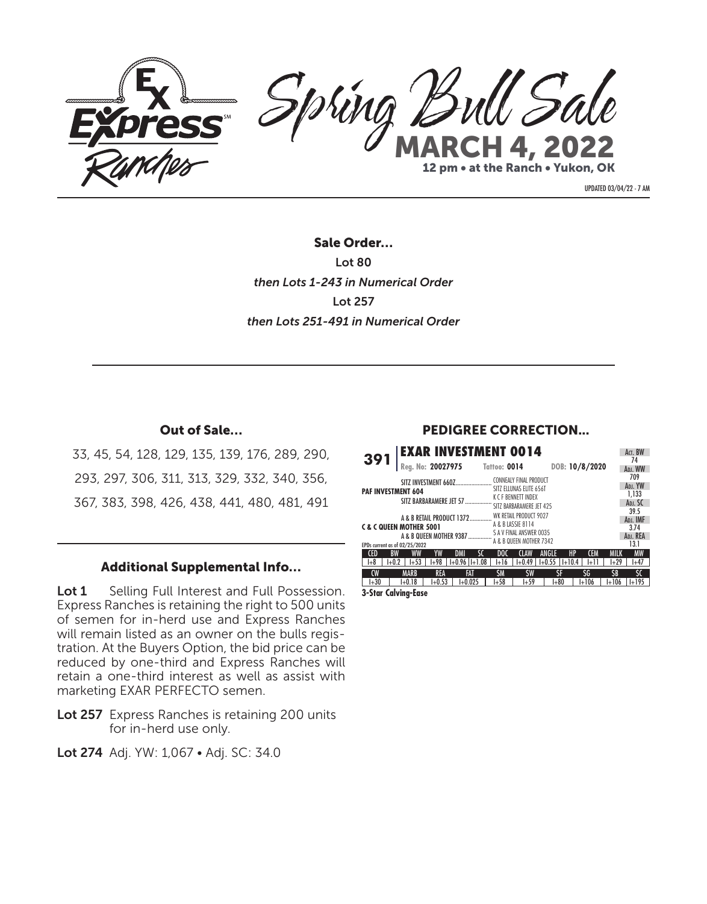

UPDATED 03/04/22 - 7 AM

Sale Order… Lot 80 *then Lots 1-243 in Numerical Order* Lot 257 *then Lots 251-491 in Numerical Order*

## Out of Sale…

33, 45, 54, 128, 129, 135, 139, 176, 289, 290, 293, 297, 306, 311, 313, 329, 332, 340, 356, 367, 383, 398, 426, 438, 441, 480, 481, 491

## Additional Supplemental Info…

Lot 1 Selling Full Interest and Full Possession. Express Ranches is retaining the right to 500 units of semen for in-herd use and Express Ranches will remain listed as an owner on the bulls registration. At the Buyers Option, the bid price can be reduced by one-third and Express Ranches will retain a one-third interest as well as assist with marketing EXAR PERFECTO semen.

Lot 257 Express Ranches is retaining 200 units for in-herd use only.

Lot 274 Adj. YW: 1,067 • Adj. SC: 34.0

## PEDIGREE CORRECTION...

| <b>EXAR INVESTMENT 0014</b>                |                               |                          |                      |                |         | Act. BW       |
|--------------------------------------------|-------------------------------|--------------------------|----------------------|----------------|---------|---------------|
| 391<br>Reg. No: 20027975 Tattoo: 0014      |                               |                          |                      | DOB: 10/8/2020 |         | 74<br>ADJ, WW |
| SITZ INVESTMENT 660Z                       |                               | CONNEALY FINAL PRODUCT   |                      |                |         | 709           |
| <b>PAF INVESTMENT 604</b>                  |                               | SITZ ELLUNAS ELITE 656T  |                      |                |         | ADJ, YW       |
| SITZ BARBARAMERE JET 57                    |                               | K C F BENNETT INDEX      |                      |                |         | 1.133         |
|                                            |                               | SITZ BARBARAMERE JET 425 |                      |                |         | ADJ. SC       |
|                                            |                               | WK RETAIL PRODUCT 9027   |                      |                |         | 39.5          |
| A & B RETAIL PRODUCT 1372                  |                               | A & B LASSIE 8114        |                      |                |         | ADJ. IMF      |
| <b>C&amp;C QUEEN MOTHER 5001</b>           |                               |                          |                      |                |         | 3.74          |
|                                            |                               |                          |                      |                |         | ADJ, REA      |
| EPDs current as of 02/25/2022              |                               |                          |                      |                |         | 13.1          |
| <b>CED</b><br>YW<br><b>BW</b><br>DMI<br>ww | sc<br>DOC                     | <b>CLAW</b>              | HP<br>ANGLE          | <b>CEM</b>     | MILK    | <b>MW</b>     |
| $1+53$<br>$I + 98$<br>$1 + 0.2$<br>l+8     | $1+0.96$   $1+1.08$<br>$1+16$ | $I + 0.49$               | $1+0.55$<br>$1+10.4$ | l+11           | $1+29$  | l+47          |
| <b>MARB</b><br><b>CW</b><br><b>REA</b>     | FAT<br><b>SM</b>              | <b>SW</b>                | ŜF                   | ŚG             | ŚВ      | ŚΟ            |
| $I+30$<br>$I + 0.53$<br>$1+0.18$           | $1 + 58$<br>$I + 0.025$       | $1+59$                   | $1 + 80$             | $1+106$        | $1+106$ | $1 + 195$     |
| <b>3-Star Calving-Ease</b>                 |                               |                          |                      |                |         |               |